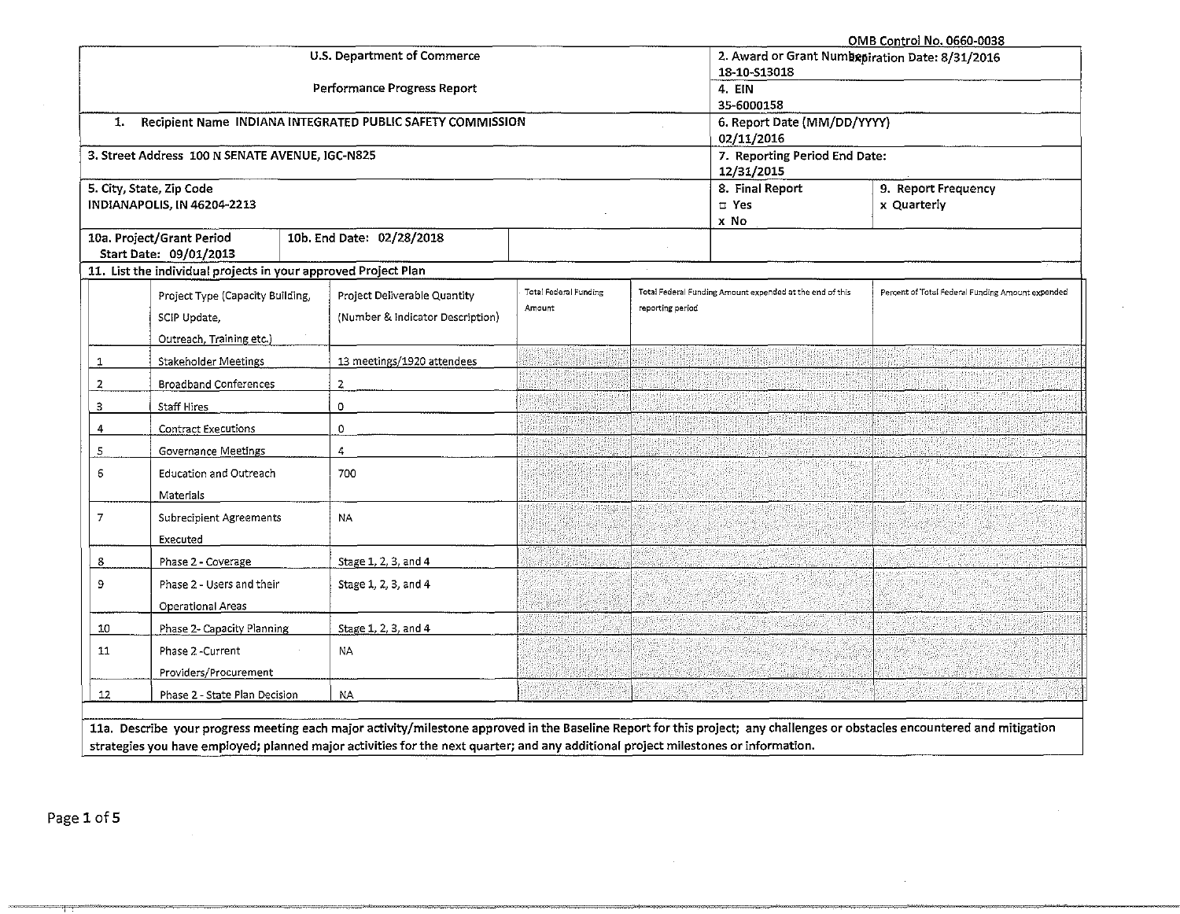|                                                        | OMB Control No. 0660-0038                                      |                                                            |                                                 |                  |                                                          |                                                                                                                    |  |  |  |
|--------------------------------------------------------|----------------------------------------------------------------|------------------------------------------------------------|-------------------------------------------------|------------------|----------------------------------------------------------|--------------------------------------------------------------------------------------------------------------------|--|--|--|
|                                                        |                                                                | U.S. Department of Commerce                                | 2. Award or Grant Numbepiration Date: 8/31/2016 |                  |                                                          |                                                                                                                    |  |  |  |
|                                                        |                                                                |                                                            | 18-10-S13018                                    |                  |                                                          |                                                                                                                    |  |  |  |
|                                                        |                                                                | Performance Progress Report                                | 4. EIN                                          |                  |                                                          |                                                                                                                    |  |  |  |
|                                                        |                                                                |                                                            | 35-6000158                                      |                  |                                                          |                                                                                                                    |  |  |  |
| 1.                                                     |                                                                | Recipient Name INDIANA INTEGRATED PUBLIC SAFETY COMMISSION |                                                 |                  | 6. Report Date (MM/DD/YYYY)                              |                                                                                                                    |  |  |  |
|                                                        |                                                                |                                                            |                                                 |                  | 02/11/2016                                               |                                                                                                                    |  |  |  |
|                                                        | 3. Street Address 100 N SENATE AVENUE, IGC-N825                |                                                            |                                                 |                  | 7. Reporting Period End Date:<br>12/31/2015              |                                                                                                                    |  |  |  |
|                                                        | 5. City, State, Zip Code                                       |                                                            |                                                 |                  | 8. Final Report<br>9. Report Frequency                   |                                                                                                                    |  |  |  |
|                                                        | INDIANAPOLIS, IN 46204-2213                                    |                                                            |                                                 |                  | $\square$ Yes                                            | x Quarterly                                                                                                        |  |  |  |
|                                                        |                                                                |                                                            |                                                 |                  | x No                                                     |                                                                                                                    |  |  |  |
|                                                        | 10a. Project/Grant Period                                      | 10b. End Date: 02/28/2018                                  |                                                 |                  |                                                          |                                                                                                                    |  |  |  |
|                                                        | Start Date: 09/01/2013                                         |                                                            |                                                 |                  |                                                          |                                                                                                                    |  |  |  |
|                                                        | 11. List the individual projects in your approved Project Plan |                                                            |                                                 |                  |                                                          |                                                                                                                    |  |  |  |
|                                                        | Project Type (Capacity Building,                               | Project Deliverable Quantity                               | <b>Total Federal Funding</b>                    |                  | Total Federal Funding Amount expended at the end of this | Percent of Total Federal Funding Amount expended                                                                   |  |  |  |
|                                                        | SCIP Update,                                                   | (Number & Indicator Description)                           | Amount                                          | reporting period |                                                          |                                                                                                                    |  |  |  |
|                                                        |                                                                |                                                            |                                                 |                  |                                                          |                                                                                                                    |  |  |  |
|                                                        | Outreach, Training etc.)                                       |                                                            |                                                 |                  |                                                          |                                                                                                                    |  |  |  |
| 1                                                      | <b>Stakeholder Meetings</b>                                    | 13 meetings/1920 attendees                                 |                                                 |                  |                                                          |                                                                                                                    |  |  |  |
| $\overline{2}$                                         | <b>Broadband Conferences</b>                                   | $\overline{z}$                                             |                                                 |                  |                                                          |                                                                                                                    |  |  |  |
| з                                                      | <b>Staff Hires</b>                                             | 0                                                          |                                                 |                  |                                                          |                                                                                                                    |  |  |  |
| 4                                                      | Contract Executions                                            | 0                                                          |                                                 |                  |                                                          |                                                                                                                    |  |  |  |
| 5                                                      | Governance Meetings                                            | 4                                                          |                                                 |                  |                                                          |                                                                                                                    |  |  |  |
| 6                                                      | <b>Education and Outreach</b>                                  | 700                                                        |                                                 |                  |                                                          |                                                                                                                    |  |  |  |
|                                                        | Materials                                                      |                                                            |                                                 |                  |                                                          |                                                                                                                    |  |  |  |
| 7                                                      | <b>Subrecipient Agreements</b>                                 | <b>NA</b>                                                  |                                                 |                  |                                                          |                                                                                                                    |  |  |  |
|                                                        |                                                                |                                                            |                                                 |                  |                                                          |                                                                                                                    |  |  |  |
|                                                        | Executed                                                       |                                                            |                                                 |                  |                                                          |                                                                                                                    |  |  |  |
| 8                                                      | Phase 2 - Coverage                                             | Stage 1, 2, 3, and 4                                       |                                                 |                  |                                                          |                                                                                                                    |  |  |  |
| 9<br>Phase 2 - Users and their<br>Stage 1, 2, 3, and 4 |                                                                |                                                            |                                                 |                  |                                                          |                                                                                                                    |  |  |  |
|                                                        | <b>Operational Areas</b>                                       |                                                            |                                                 |                  |                                                          |                                                                                                                    |  |  |  |
| 10                                                     | Phase 2- Capacity Planning                                     | Stage 1, 2, 3, and 4                                       |                                                 |                  |                                                          |                                                                                                                    |  |  |  |
| 11                                                     | Phase 2-Current                                                | <b>NA</b>                                                  |                                                 |                  |                                                          |                                                                                                                    |  |  |  |
|                                                        | Providers/Procurement                                          |                                                            |                                                 |                  |                                                          |                                                                                                                    |  |  |  |
| 12                                                     | Phase 2 - State Plan Decision                                  | ΝA.                                                        |                                                 |                  |                                                          |                                                                                                                    |  |  |  |
|                                                        |                                                                |                                                            |                                                 |                  |                                                          |                                                                                                                    |  |  |  |
| <b>HALL BALANTEL 21</b>                                | التابينا لمسائلهم وعبا ووجبتي                                  | والمستنقص والاستناء ويتعارضه والمستورث والمراد             |                                                 |                  |                                                          | a superior to the Decelline Democrácy this publication and declining an electrolegic approximately and critication |  |  |  |

**lla. Describe your progress meeting each major activity/milestone approved in the Baseline Report for this project; any challenges or obstacles encountered and mitigation strategies you have employed; planned major activities for the next quarter; and any additional project milestones or information.** 

·~~~·-~~~···~~~~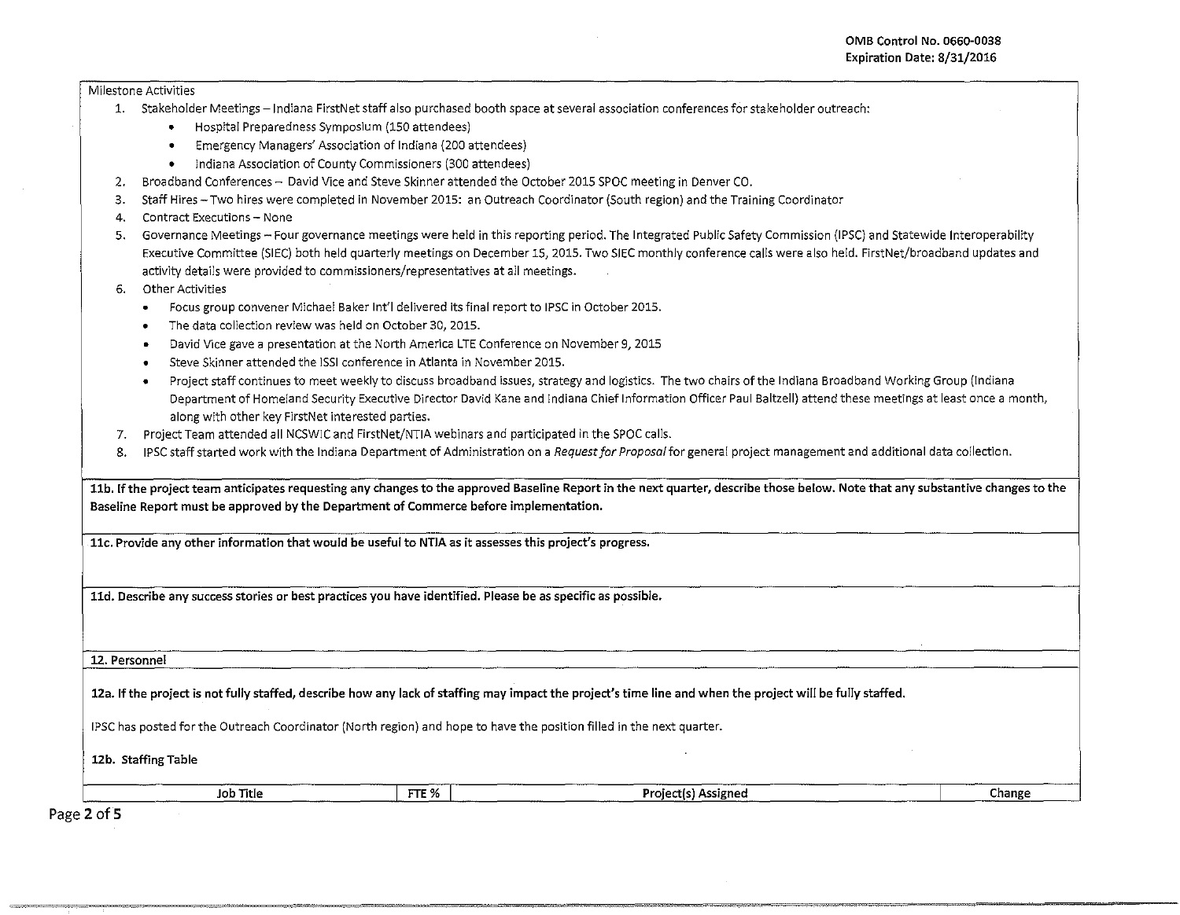## Milestone Activities

- 1. Stakeholder Meetings -Indiana FirstNet staff also purchased booth space at several association conferences for stakeholder outreach:
	- Hospital Preparedness Symposium (150 attendees)
	- Emergency Managers' Association of Indiana {200 attendees}
	- Indiana Association of County Commissioners (300 attendees)
- 2. Broadband Conferences David Vice and Steve Skinner attended the October 2015 SPOC meeting in Denver CO.
- 3. Staff Hires-Two hires were completed in November 2015: an Outreach Coordinator {South region) and the Training Coordinator
- 4. Contract Executions- None
- 5. Governance Meetings- Four governance meetings were held in this reporting period. The Integrated Public Safety Commission (IPSC} and Statewide lnteroperability Executive Committee (SIEC) both held quarterly meetings on December 15, 2015. Two SIEC monthly conference calls were also held. FirstNet/broadband updates and activity details were provided to commissioners/representatives at all meetings.
- 6. Other Activities
	- Focus group convener Michael Baker lnt'l delivered its final report to IPSC in October 2015 .
	- The data collection review was held on October 30, 2015.
	- David V1ce gave a presentation at the North America LTE Conference on November 9, 2015
	- Steve Skinner attended the ISSI conference in Atlanta in November 2015.
	- Project staff continues to meet weekly to discuss broadband issues, strategy and logistics. The two chairs of the Indiana Broadband Working Group (Indiana Department of Homeland Security Executive Director David Kane and Indiana Chief Information Officer Paul Baltzell) attend these meetings at least once a month, along with other key FirstNet interested parties.
- 7. Project Team attended all NCSWIC and FirstNet/NTIA webinars and participated in the SPOC calls.
- 8. IPSC staff started work with the Indiana Department of Administration on a *Request for Proposal* for general project management and additional data collection.

| 11b. If the project team anticipates requesting any changes to the approved Baseline Report in the next quarter, describe those below. Note that any substantive changes to the |       |                     |        |  |  |  |  |  |
|---------------------------------------------------------------------------------------------------------------------------------------------------------------------------------|-------|---------------------|--------|--|--|--|--|--|
| Baseline Report must be approved by the Department of Commerce before implementation.                                                                                           |       |                     |        |  |  |  |  |  |
|                                                                                                                                                                                 |       |                     |        |  |  |  |  |  |
| 11c. Provide any other information that would be useful to NTIA as it assesses this project's progress.                                                                         |       |                     |        |  |  |  |  |  |
|                                                                                                                                                                                 |       |                     |        |  |  |  |  |  |
|                                                                                                                                                                                 |       |                     |        |  |  |  |  |  |
| 11d. Describe any success stories or best practices you have identified. Please be as specific as possible.                                                                     |       |                     |        |  |  |  |  |  |
|                                                                                                                                                                                 |       |                     |        |  |  |  |  |  |
|                                                                                                                                                                                 |       |                     |        |  |  |  |  |  |
| 12. Personnel                                                                                                                                                                   |       |                     |        |  |  |  |  |  |
|                                                                                                                                                                                 |       |                     |        |  |  |  |  |  |
| 12a. If the project is not fully staffed, describe how any lack of staffing may impact the project's time line and when the project will be fully staffed.                      |       |                     |        |  |  |  |  |  |
|                                                                                                                                                                                 |       |                     |        |  |  |  |  |  |
| IPSC has posted for the Outreach Coordinator (North region) and hope to have the position filled in the next quarter.                                                           |       |                     |        |  |  |  |  |  |
|                                                                                                                                                                                 |       |                     |        |  |  |  |  |  |
| 12b. Staffing Table                                                                                                                                                             |       |                     |        |  |  |  |  |  |
| Job Title                                                                                                                                                                       | FTE % | Project(s) Assigned | Change |  |  |  |  |  |
|                                                                                                                                                                                 |       |                     |        |  |  |  |  |  |

'~~~ ~,,,. ~," ,,, ,~~~~~~-~-~

Page 2 of 5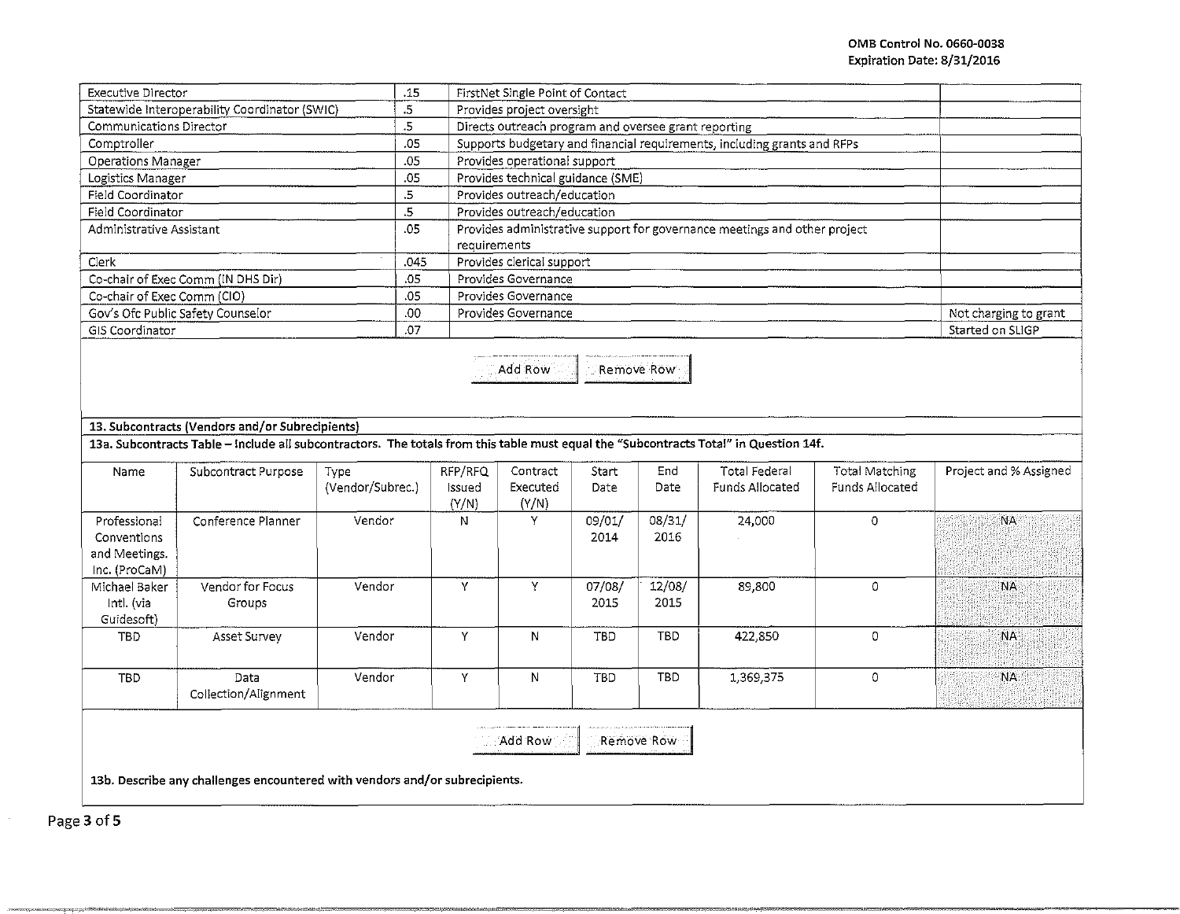| <b>Executive Director</b>                     | .15  | FirstNet Single Point of Contact                                                          |                       |  |  |
|-----------------------------------------------|------|-------------------------------------------------------------------------------------------|-----------------------|--|--|
| Statewide Interoperability Coordinator (SWIC) | .5   | Provides project oversight                                                                |                       |  |  |
| Communications Director                       | .5   | Directs outreach program and oversee grant reporting                                      |                       |  |  |
| Comptroller                                   | .05  | Supports budgetary and financial requirements, including grants and RFPs                  |                       |  |  |
| <b>Operations Manager</b>                     | .05  | Provides operational support                                                              |                       |  |  |
| Logistics Manager                             | .05  | Provides technical guidance (SME)                                                         |                       |  |  |
| Field Coordinator                             | .5   | Provides outreach/education                                                               |                       |  |  |
| Field Coordinator                             | .5   | Provides outreach/education                                                               |                       |  |  |
| Administrative Assistant                      | .05  | Provides administrative support for governance meetings and other project<br>requirements |                       |  |  |
| Clerk                                         | .045 | Provides clerical support                                                                 |                       |  |  |
| Co-chair of Exec Comm (IN DHS Dir)            | .05  | Provides Governance                                                                       |                       |  |  |
| Co-chair of Exec Comm (CIO)                   | .05  | Provides Governance                                                                       |                       |  |  |
| Gov's Ofc Public Safety Counselor             | .00. | Provides Governance                                                                       | Not charging to grant |  |  |
| GIS Coordinator                               | .07  |                                                                                           | Started on SLIGP      |  |  |

----- I Add Row Remove Row ---~

**13. Subcontracts (Vendors and/or Subrecipients}** 

13a. Subcontracts Table - Include all subcontractors. The totals from this table must equal the "Subcontracts Total" in Question 14f.

| Name                                                          | Subcontract Purpose          | Type<br>(Vendor/Subrec.) | RFP/RFQ<br>Issued<br>(Y/N) | Contract<br>Executed<br>(Y/N) | Start<br>Date  | End<br>Date    | Total Federal<br>Funds Allocated | Total Matching<br>Funds Allocated | Project and % Assigned |
|---------------------------------------------------------------|------------------------------|--------------------------|----------------------------|-------------------------------|----------------|----------------|----------------------------------|-----------------------------------|------------------------|
| Professional<br>Conventions<br>and Meetings.<br>Inc. (ProCaM) | Conference Planner           | Vendor                   | N                          | Y                             | 09/01/<br>2014 | 08/31/<br>2016 | 24,000                           | 0                                 | <b>NA</b>              |
| Michael Baker<br>Intl. (via<br>Guidesoft)                     | Vendor for Focus<br>Groups   | Vendor                   | $\lambda$                  | v                             | 07/08/<br>2015 | 12/08/<br>2015 | 89,800                           | Ð                                 | <b>NA</b>              |
| <b>TBD</b>                                                    | Asset Survey                 | Vendor                   | v                          | N                             | TBD            | TBD            | 422,850                          | 0                                 | <b>NA</b>              |
| TBD.                                                          | Data<br>Collection/Alignment | Vendor                   | ν                          | N                             | TBD            | TBD            | 1,369,375                        | 0                                 | <b>NA</b>              |

 $\mathsf{Add}\ \mathsf{Row} \subset \mathbb{R}$  - Remove Row -

**13b. Describe any challenges encountered with vendors and/or subrecipients.** 

"'"-----c=----0>"""'~'=·==< '~""~=•mo .. ~·~ m• M"M-···~ "' ""-~- """'"""=~,--~>M•M-~.0---· ~-- ~» <sup>=</sup>="''

-------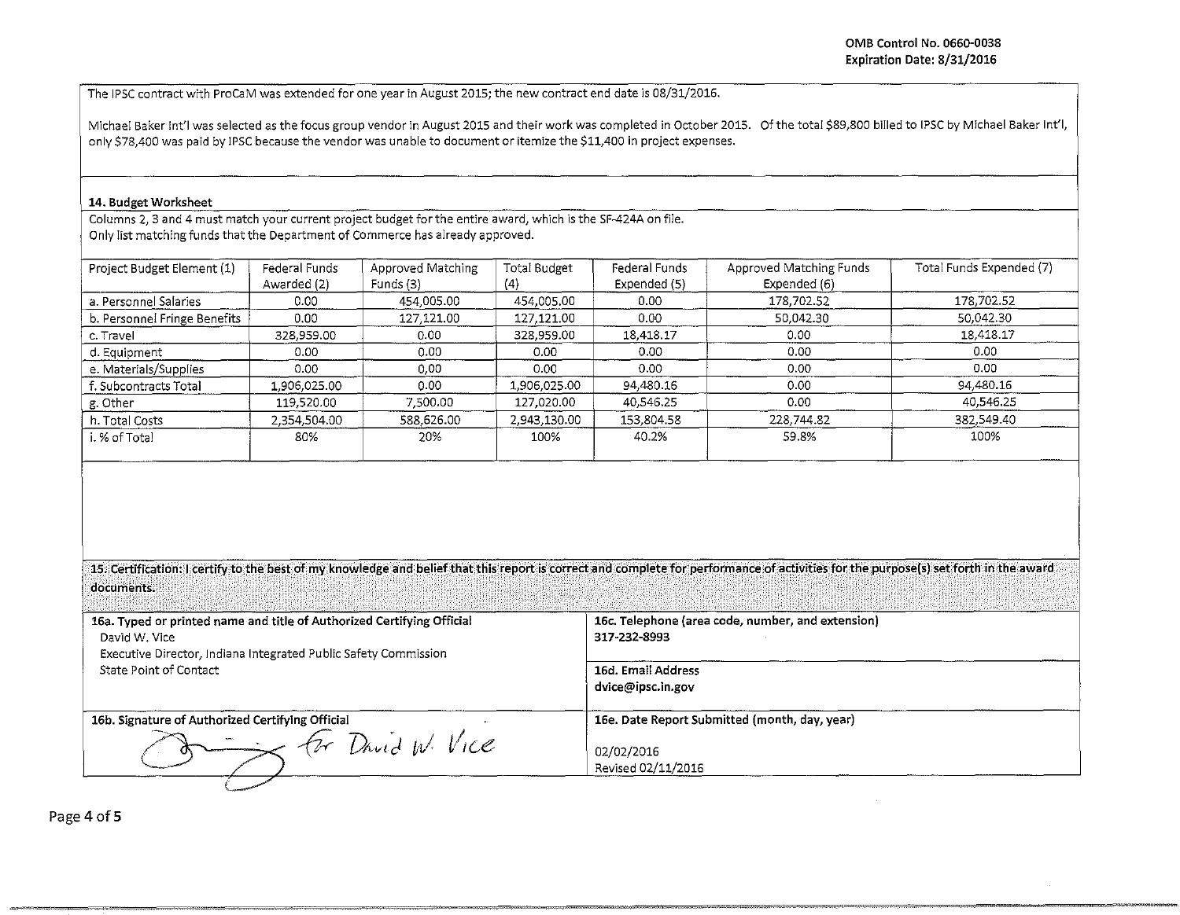-~ -~- ~--~,

The IPSC contract with ProCaM was extended for one year in August 2015; the new contract end date is 08/31/2016.

Michael Baker lnt'l was selected as the focus group vendor in August 2015 and their work was completed in October 2015. Of the total \$89,800 billed to IPSC by Michael Baker lnt'l, only \$78,400 was paid by IPSC because the vendor was unable to document or itemize the \$11,400 in project expenses.

## 14. Budget Worksheet

Columns 2, 3 and 4 must match your current project budget for the entire award, which is the SF-424A on file. Only list matching funds that the Department of Commerce has already approved.

| Project Budget Element (1)   | Federal Funds<br>Awarded (2) | Approved Matching<br>Funds (3) | Total Budget<br>(4) | Federal Funds<br>Expended (5) | Approved Matching Funds<br>Expended (6) | Total Funds Expended (7) |
|------------------------------|------------------------------|--------------------------------|---------------------|-------------------------------|-----------------------------------------|--------------------------|
| a. Personnel Salaries        | 0.00                         | 454,005.00                     | 454,005.00          | 0.00                          | 178,702.52                              | 178,702.52               |
| b. Personnel Fringe Benefits | 0.00                         | 127,121.00                     | 127,121.00          | 0.00                          | 50,042.30                               | 50,042.30                |
| c. Travel                    | 328,959.00                   | 0.00                           | 328,959.00          | 18,418.17                     | 0.00 <sub>1</sub>                       | 18,418.17                |
| d. Equipment                 | 0.00                         | 0.00                           | 0.00                | 0.00                          | 0.00                                    | 0.00                     |
| e. Materials/Supplies        | 0.00                         | 0.00                           | 0.00                | 0.00                          | 0.00                                    | 0.00                     |
| f. Subcontracts Total        | 1,906,025.00                 | 0.00                           | 1,906.025.00        | 94,480.16                     | 0.00                                    | 94,480.16                |
| g. Other                     | 119,520.00                   | 7,500.00                       | 127,020.00          | 40,546,25                     | 0.00                                    | 40,546.25                |
| h. Total Costs               | 2,354,504.00                 | 588.626.00                     | 2,943,130.00        | 153,804.58                    | 228,744.82                              | 382,549.40               |
| i. % of Total                | 80%                          | 20%                            | 100%                | 40.2%                         | 59.8%                                   | 100%                     |

15. Certification: I certify to the best of my knowledge and belief that this report is correct and complete for performance of activities for the purpose(s) set forth in the award documents. . ··· ; ... · .. •... ·.·. >\_ .·.•.·· ... · . . . . ... .·· ·• • • •• . .... · .. · ·.· . · ... ..

**16a. Typed or printed name and title of Authorized Certifying Official 16c. Telephone (area code, number, and extension)** David W. Vice 317-232-8993 Executive Director, Indiana Integrated Public Safety Commission State Point of Contact **16d. Email Address dvice@ipsc.in.gov 16b. Signature of Authorized Certifying Official 16e. Date Report Submitted (month, day, year) 16e. Date Report Submitted (month, day, year)**  $\frac{1}{\sqrt{2}}$  *D and W. VICE* 02/02/2016 Revised 02/11/2016

Page 4 of 5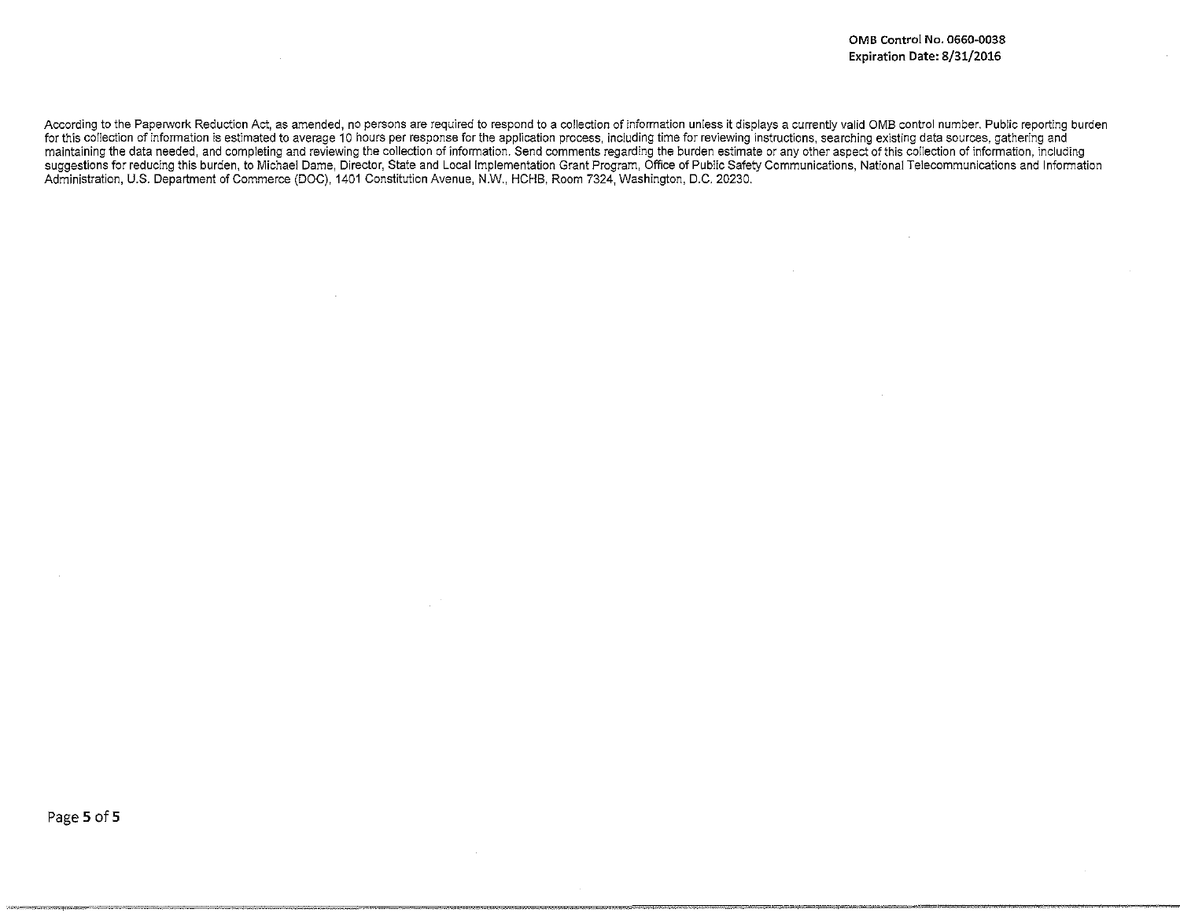According to the Paperwork Reduction Act, as amended, no persons are required to respond to a collection of information unless it displays a currently valid OMB control number. Public reporting burden for this co!lection of information is estimated to average 10 hours per response for the application process, including time for reviewing instructions, searching existing data sources, gathering and maintaining the data needed, and completing and reviewing the collection of information. Send comments regarding the burden estimate or any other aspect of this collection of information, including suggestions for reducing this burden, to Michael Dame, Director, State and Local Implementation Grant Program, Office of Public Safety Communications, National Telecommunications and Information Administration, U.S. Department of Commerce (DOC), 1401 Constitution Avenue, N.W., HCHB, Room 7324, Washington, D.C. 20230.

-·~ =•'-' -~ ,.,...,= • ·==~-=-·~~~~-